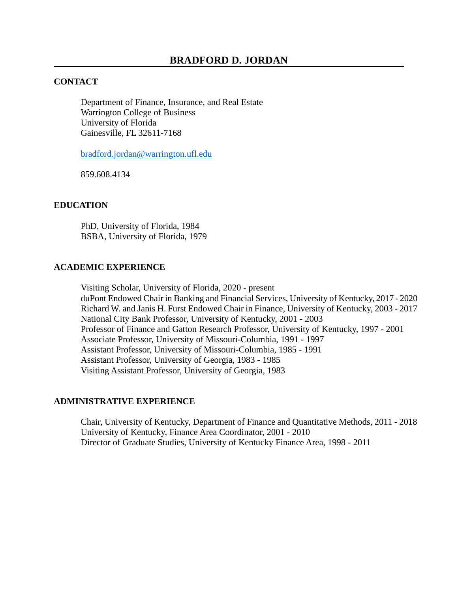# **CONTACT**

Department of Finance, Insurance, and Real Estate Warrington College of Business University of Florida Gainesville, FL 32611-7168

[bradford.jordan@warrington.ufl.edu](mailto:bradford.jordan@warrington.ufl.edu)

859.608.4134

## **EDUCATION**

PhD, University of Florida, 1984 BSBA, University of Florida, 1979

## **ACADEMIC EXPERIENCE**

Visiting Scholar, University of Florida, 2020 - present duPont Endowed Chair in Banking and Financial Services, University of Kentucky, 2017 - 2020 Richard W. and Janis H. Furst Endowed Chair in Finance, University of Kentucky, 2003 - 2017 National City Bank Professor, University of Kentucky, 2001 - 2003 Professor of Finance and Gatton Research Professor, University of Kentucky, 1997 - 2001 Associate Professor, University of Missouri-Columbia, 1991 - 1997 Assistant Professor, University of Missouri-Columbia, 1985 - 1991 Assistant Professor, University of Georgia, 1983 - 1985 Visiting Assistant Professor, University of Georgia, 1983

## **ADMINISTRATIVE EXPERIENCE**

Chair, University of Kentucky, Department of Finance and Quantitative Methods, 2011 - 2018 University of Kentucky, Finance Area Coordinator, 2001 - 2010 Director of Graduate Studies, University of Kentucky Finance Area, 1998 - 2011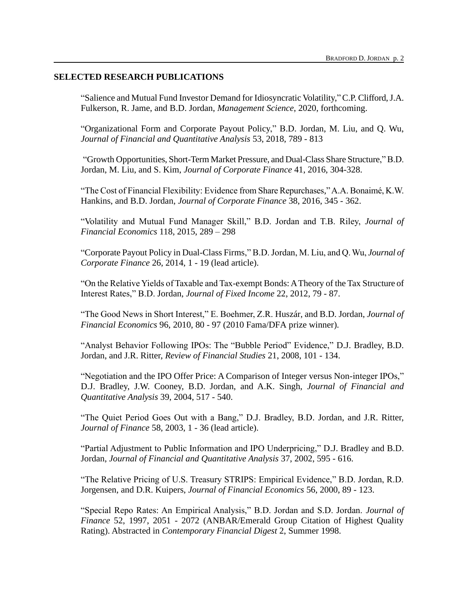## **SELECTED RESEARCH PUBLICATIONS**

"Salience and Mutual Fund Investor Demand for Idiosyncratic Volatility,"C.P. Clifford, J.A. Fulkerson, R. Jame, and B.D. Jordan, *Management Science*, 2020, forthcoming.

"Organizational Form and Corporate Payout Policy," B.D. Jordan, M. Liu, and Q. Wu, *Journal of Financial and Quantitative Analysis* 53, 2018, 789 - 813

"Growth Opportunities, Short-Term Market Pressure, and Dual-Class Share Structure," B.D. Jordan, M. Liu, and S. Kim, *Journal of Corporate Finance* 41, 2016, 304-328.

"The Cost of Financial Flexibility: Evidence from Share Repurchases," A.A. Bonaimé, K.W. Hankins, and B.D. Jordan, *Journal of Corporate Finance* 38, 2016, 345 - 362.

"Volatility and Mutual Fund Manager Skill," B.D. Jordan and T.B. Riley, *Journal of Financial Economics* 118, 2015, 289 – 298

"Corporate Payout Policy in Dual-Class Firms," B.D. Jordan, M. Liu, and Q. Wu, *Journal of Corporate Finance* 26, 2014, 1 - 19 (lead article).

"On the Relative Yields of Taxable and Tax-exempt Bonds: A Theory of the Tax Structure of Interest Rates," B.D. Jordan, *Journal of Fixed Income* 22, 2012, 79 - 87.

"The Good News in Short Interest," E. Boehmer, Z.R. Huszár, and B.D. Jordan, *Journal of Financial Economics* 96, 2010, 80 - 97 (2010 Fama/DFA prize winner).

"Analyst Behavior Following IPOs: The "Bubble Period" Evidence," D.J. Bradley, B.D. Jordan, and J.R. Ritter, *Review of Financial Studies* 21, 2008, 101 - 134.

"Negotiation and the IPO Offer Price: A Comparison of Integer versus Non-integer IPOs," D.J. Bradley, J.W. Cooney, B.D. Jordan, and A.K. Singh, *Journal of Financial and Quantitative Analysis* 39, 2004, 517 - 540.

"The Quiet Period Goes Out with a Bang," D.J. Bradley, B.D. Jordan, and J.R. Ritter, *Journal of Finance* 58, 2003, 1 - 36 (lead article).

"Partial Adjustment to Public Information and IPO Underpricing," D.J. Bradley and B.D. Jordan, *Journal of Financial and Quantitative Analysis* 37, 2002, 595 - 616.

"The Relative Pricing of U.S. Treasury STRIPS: Empirical Evidence," B.D. Jordan, R.D. Jorgensen, and D.R. Kuipers, *Journal of Financial Economics* 56, 2000, 89 - 123.

"Special Repo Rates: An Empirical Analysis," B.D. Jordan and S.D. Jordan. *Journal of Finance* 52, 1997, 2051 - 2072 (ANBAR/Emerald Group Citation of Highest Quality Rating). Abstracted in *Contemporary Financial Digest* 2, Summer 1998.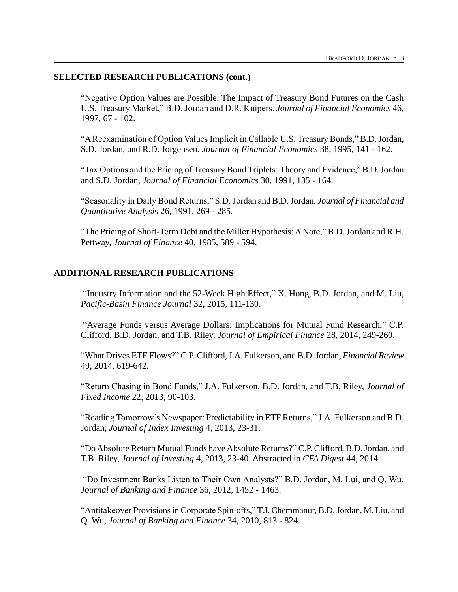## **SELECTED RESEARCH PUBLICATIONS (cont.)**

"Negative Option Values are Possible: The Impact of Treasury Bond Futures on the Cash U.S. Treasury Market," B.D. Jordan and D.R. Kuipers. *Journal of Financial Economics* 46, 1997, 67 - 102.

"A Reexamination of Option Values Implicit in Callable U.S. Treasury Bonds," B.D. Jordan, S.D. Jordan, and R.D. Jorgensen. *Journal of Financial Economics* 38, 1995, 141 - 162.

"Tax Options and the Pricing of Treasury Bond Triplets: Theory and Evidence," B.D. Jordan and S.D. Jordan, *Journal of Financial Economics* 30, 1991, 135 - 164.

"Seasonality in Daily Bond Returns," S.D. Jordan and B.D. Jordan, *Journal of Financial and Quantitative Analysis* 26, 1991, 269 - 285.

"The Pricing of Short-Term Debt and the Miller Hypothesis: A Note," B.D. Jordan and R.H. Pettway, *Journal of Finance* 40, 1985, 589 - 594.

## **ADDITIONAL RESEARCH PUBLICATIONS**

"Industry Information and the 52-Week High Effect," X. Hong, B.D. Jordan, and M. Liu, *Pacific-Basin Finance Journal* 32, 2015, 111-130.

"Average Funds versus Average Dollars: Implications for Mutual Fund Research," C.P. Clifford, B.D. Jordan, and T.B. Riley, *Journal of Empirical Finance* 28, 2014, 249-260.

"What Drives ETF Flows?" C.P. Clifford, J.A. Fulkerson, and B.D.Jordan, *Financial Review* 49, 2014, 619-642.

"Return Chasing in Bond Funds," J.A. Fulkerson, B.D. Jordan, and T.B. Riley, *Journal of Fixed Income* 22, 2013, 90-103.

"Reading Tomorrow's Newspaper: Predictability in ETF Returns," J.A. Fulkerson and B.D. Jordan, *Journal of Index Investing* 4, 2013, 23-31.

"Do Absolute Return Mutual Funds have Absolute Returns?" C.P. Clifford, B.D.Jordan, and T.B. Riley, *Journal of Investing* 4, 2013, 23-40. Abstracted in *CFA Digest* 44, 2014.

"Do Investment Banks Listen to Their Own Analysts?" B.D. Jordan, M. Lui, and Q. Wu, *Journal of Banking and Finance* 36, 2012, 1452 - 1463.

"Antitakeover Provisions in Corporate Spin-offs," T.J. Chemmanur, B.D. Jordan, M. Liu, and Q. Wu, *Journal of Banking and Finance* 34, 2010, 813 - 824.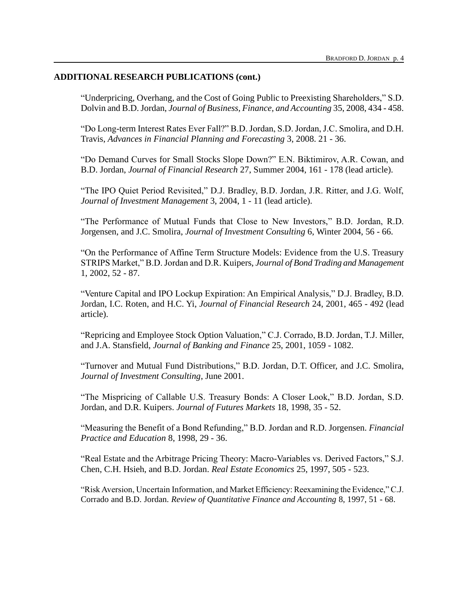## **ADDITIONAL RESEARCH PUBLICATIONS (cont.)**

"Underpricing, Overhang, and the Cost of Going Public to Preexisting Shareholders," S.D. Dolvin and B.D. Jordan, *Journal of Business, Finance, and Accounting* 35, 2008, 434 - 458.

"Do Long-term Interest Rates Ever Fall?" B.D. Jordan, S.D. Jordan, J.C. Smolira, and D.H. Travis, *Advances in Financial Planning and Forecasting* 3, 2008. 21 - 36.

"Do Demand Curves for Small Stocks Slope Down?" E.N. Biktimirov, A.R. Cowan, and B.D. Jordan, *Journal of Financial Research* 27, Summer 2004, 161 - 178 (lead article).

"The IPO Quiet Period Revisited," D.J. Bradley, B.D. Jordan, J.R. Ritter, and J.G. Wolf, *Journal of Investment Management* 3, 2004, 1 - 11 (lead article).

"The Performance of Mutual Funds that Close to New Investors," B.D. Jordan, R.D. Jorgensen, and J.C. Smolira, *Journal of Investment Consulting* 6, Winter 2004, 56 - 66.

"On the Performance of Affine Term Structure Models: Evidence from the U.S. Treasury STRIPS Market," B.D. Jordan and D.R. Kuipers, *Journal of Bond Trading and Management* 1, 2002, 52 - 87.

"Venture Capital and IPO Lockup Expiration: An Empirical Analysis," D.J. Bradley, B.D. Jordan, I.C. Roten, and H.C. Yi, *Journal of Financial Research* 24, 2001, 465 - 492 (lead article).

"Repricing and Employee Stock Option Valuation," C.J. Corrado, B.D. Jordan, T.J. Miller, and J.A. Stansfield, *Journal of Banking and Finance* 25, 2001, 1059 - 1082.

"Turnover and Mutual Fund Distributions," B.D. Jordan, D.T. Officer, and J.C. Smolira, *Journal of Investment Consulting*, June 2001.

"The Mispricing of Callable U.S. Treasury Bonds: A Closer Look," B.D. Jordan, S.D. Jordan, and D.R. Kuipers. *Journal of Futures Markets* 18, 1998, 35 - 52.

"Measuring the Benefit of a Bond Refunding," B.D. Jordan and R.D. Jorgensen. *Financial Practice and Education* 8, 1998, 29 - 36.

"Real Estate and the Arbitrage Pricing Theory: Macro-Variables vs. Derived Factors," S.J. Chen, C.H. Hsieh, and B.D. Jordan. *Real Estate Economics* 25, 1997, 505 - 523.

"Risk Aversion, Uncertain Information, and Market Efficiency: Reexamining the Evidence," C.J. Corrado and B.D. Jordan. *Review of Quantitative Finance and Accounting* 8, 1997, 51 - 68.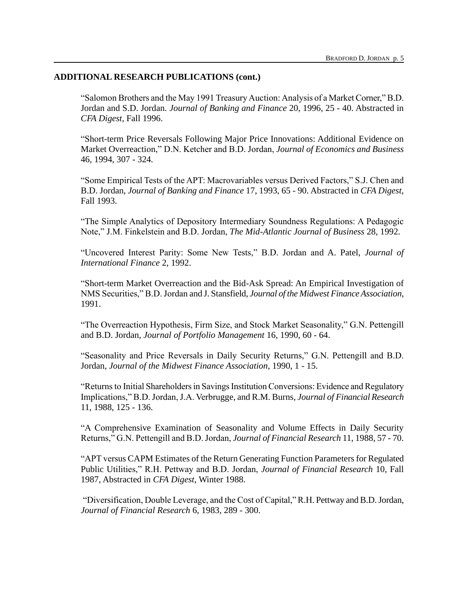## **ADDITIONAL RESEARCH PUBLICATIONS (cont.)**

"Salomon Brothers and the May 1991 Treasury Auction: Analysis of a Market Corner," B.D. Jordan and S.D. Jordan. *Journal of Banking and Finance* 20, 1996, 25 - 40. Abstracted in *CFA Digest*, Fall 1996.

"Short-term Price Reversals Following Major Price Innovations: Additional Evidence on Market Overreaction," D.N. Ketcher and B.D. Jordan, *Journal of Economics and Business* 46, 1994, 307 - 324*.*

"Some Empirical Tests of the APT: Macrovariables versus Derived Factors," S.J. Chen and B.D. Jordan, *Journal of Banking and Finance* 17, 1993, 65 - 90. Abstracted in *CFA Digest*, Fall 1993.

"The Simple Analytics of Depository Intermediary Soundness Regulations: A Pedagogic Note," J.M. Finkelstein and B.D. Jordan, *The Mid-Atlantic Journal of Business* 28, 1992.

"Uncovered Interest Parity: Some New Tests," B.D. Jordan and A. Patel, *Journal of International Finance* 2, 1992.

"Short-term Market Overreaction and the Bid-Ask Spread: An Empirical Investigation of NMS Securities," B.D. Jordan and J. Stansfield, *Journal of the Midwest Finance Association*, 1991.

"The Overreaction Hypothesis, Firm Size, and Stock Market Seasonality," G.N. Pettengill and B.D. Jordan, *Journal of Portfolio Management* 16, 1990, 60 - 64.

"Seasonality and Price Reversals in Daily Security Returns," G.N. Pettengill and B.D. Jordan, *Journal of the Midwest Finance Association*, 1990, 1 - 15.

"Returns to Initial Shareholders in Savings Institution Conversions: Evidence and Regulatory Implications," B.D. Jordan, J.A. Verbrugge, and R.M. Burns, *Journal of Financial Research* 11, 1988, 125 - 136.

"A Comprehensive Examination of Seasonality and Volume Effects in Daily Security Returns," G.N. Pettengill and B.D. Jordan, *Journal of Financial Research* 11, 1988, 57 - 70.

"APT versus CAPM Estimates of the Return Generating Function Parameters for Regulated Public Utilities," R.H. Pettway and B.D. Jordan, *Journal of Financial Research* 10, Fall 1987, Abstracted in *CFA Digest*, Winter 1988.

"Diversification, Double Leverage, and the Cost of Capital," R.H. Pettway and B.D. Jordan, *Journal of Financial Research* 6, 1983, 289 - 300.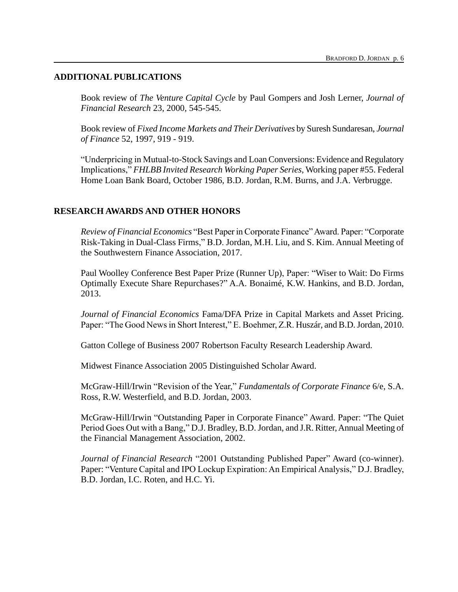## **ADDITIONAL PUBLICATIONS**

Book review of *The Venture Capital Cycle* by Paul Gompers and Josh Lerner, *Journal of Financial Research* 23, 2000, 545-545.

Book review of *Fixed Income Markets and Their Derivatives* by Suresh Sundaresan, *Journal of Finance* 52, 1997, 919 - 919.

"Underpricing in Mutual-to-Stock Savings and Loan Conversions: Evidence and Regulatory Implications," *FHLBB Invited Research Working Paper Series*, Working paper #55. Federal Home Loan Bank Board, October 1986, B.D. Jordan, R.M. Burns, and J.A. Verbrugge.

# **RESEARCH AWARDS AND OTHER HONORS**

*Review of Financial Economics* "Best Paper in Corporate Finance" Award. Paper: "Corporate Risk-Taking in Dual-Class Firms," B.D. Jordan, M.H. Liu, and S. Kim. Annual Meeting of the Southwestern Finance Association, 2017.

Paul Woolley Conference Best Paper Prize (Runner Up), Paper: "Wiser to Wait: Do Firms Optimally Execute Share Repurchases?" A.A. Bonaimé, K.W. Hankins, and B.D. Jordan, 2013.

*Journal of Financial Economics* Fama/DFA Prize in Capital Markets and Asset Pricing. Paper: "The Good News in Short Interest," E. Boehmer, Z.R. Huszár, and B.D. Jordan, 2010.

Gatton College of Business 2007 Robertson Faculty Research Leadership Award.

Midwest Finance Association 2005 Distinguished Scholar Award.

McGraw-Hill/Irwin "Revision of the Year," *Fundamentals of Corporate Finance* 6/e, S.A. Ross, R.W. Westerfield, and B.D. Jordan, 2003.

McGraw-Hill/Irwin "Outstanding Paper in Corporate Finance" Award. Paper: "The Quiet Period Goes Out with a Bang," D.J. Bradley, B.D. Jordan, and J.R. Ritter, Annual Meeting of the Financial Management Association, 2002.

*Journal of Financial Research* "2001 Outstanding Published Paper" Award (co-winner). Paper: "Venture Capital and IPO Lockup Expiration: An Empirical Analysis," D.J. Bradley, B.D. Jordan, I.C. Roten, and H.C. Yi.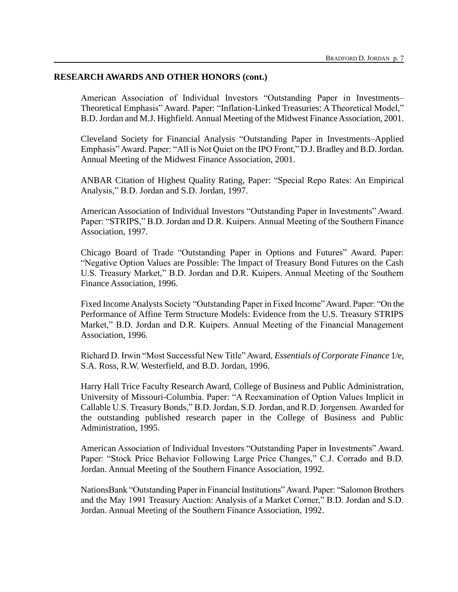## **RESEARCH AWARDS AND OTHER HONORS (cont.)**

American Association of Individual Investors "Outstanding Paper in Investments– Theoretical Emphasis" Award. Paper: "Inflation-Linked Treasuries: A Theoretical Model," B.D. Jordan and M.J. Highfield. Annual Meeting of the Midwest Finance Association, 2001.

Cleveland Society for Financial Analysis "Outstanding Paper in Investments–Applied Emphasis" Award. Paper: "All is Not Quiet on the IPO Front," D.J. Bradley and B.D. Jordan. Annual Meeting of the Midwest Finance Association, 2001.

ANBAR Citation of Highest Quality Rating, Paper: "Special Repo Rates: An Empirical Analysis," B.D. Jordan and S.D. Jordan, 1997.

American Association of Individual Investors "Outstanding Paper in Investments" Award. Paper: "STRIPS," B.D. Jordan and D.R. Kuipers. Annual Meeting of the Southern Finance Association, 1997.

Chicago Board of Trade "Outstanding Paper in Options and Futures" Award. Paper: "Negative Option Values are Possible: The Impact of Treasury Bond Futures on the Cash U.S. Treasury Market," B.D. Jordan and D.R. Kuipers. Annual Meeting of the Southern Finance Association, 1996.

Fixed Income Analysts Society "Outstanding Paper in Fixed Income" Award. Paper: "On the Performance of Affine Term Structure Models: Evidence from the U.S. Treasury STRIPS Market," B.D. Jordan and D.R. Kuipers. Annual Meeting of the Financial Management Association, 1996.

Richard D. Irwin "Most Successful New Title" Award, *Essentials of Corporate Finance* 1/e, S.A. Ross, R.W. Westerfield, and B.D. Jordan, 1996.

Harry Hall Trice Faculty Research Award, College of Business and Public Administration, University of Missouri-Columbia. Paper: "A Reexamination of Option Values Implicit in Callable U.S. Treasury Bonds," B.D. Jordan, S.D. Jordan, and R.D. Jorgensen. Awarded for the outstanding published research paper in the College of Business and Public Administration, 1995.

American Association of Individual Investors "Outstanding Paper in Investments" Award. Paper: "Stock Price Behavior Following Large Price Changes," C.J. Corrado and B.D. Jordan. Annual Meeting of the Southern Finance Association, 1992.

NationsBank "Outstanding Paper in Financial Institutions" Award. Paper: "Salomon Brothers and the May 1991 Treasury Auction: Analysis of a Market Corner," B.D. Jordan and S.D. Jordan. Annual Meeting of the Southern Finance Association, 1992.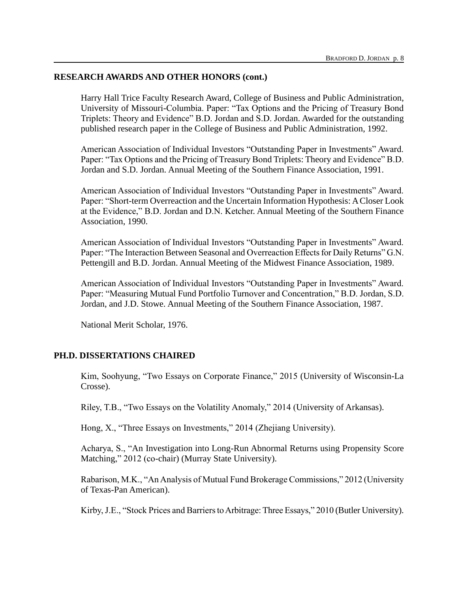# **RESEARCH AWARDS AND OTHER HONORS (cont.)**

Harry Hall Trice Faculty Research Award, College of Business and Public Administration, University of Missouri-Columbia. Paper: "Tax Options and the Pricing of Treasury Bond Triplets: Theory and Evidence" B.D. Jordan and S.D. Jordan. Awarded for the outstanding published research paper in the College of Business and Public Administration, 1992.

American Association of Individual Investors "Outstanding Paper in Investments" Award. Paper: "Tax Options and the Pricing of Treasury Bond Triplets: Theory and Evidence" B.D. Jordan and S.D. Jordan. Annual Meeting of the Southern Finance Association, 1991.

American Association of Individual Investors "Outstanding Paper in Investments" Award. Paper: "Short-term Overreaction and the Uncertain Information Hypothesis: A Closer Look at the Evidence," B.D. Jordan and D.N. Ketcher. Annual Meeting of the Southern Finance Association, 1990.

American Association of Individual Investors "Outstanding Paper in Investments" Award. Paper: "The Interaction Between Seasonal and Overreaction Effects for Daily Returns" G.N. Pettengill and B.D. Jordan. Annual Meeting of the Midwest Finance Association, 1989.

American Association of Individual Investors "Outstanding Paper in Investments" Award. Paper: "Measuring Mutual Fund Portfolio Turnover and Concentration," B.D. Jordan, S.D. Jordan, and J.D. Stowe. Annual Meeting of the Southern Finance Association, 1987.

National Merit Scholar, 1976.

# **PH.D. DISSERTATIONS CHAIRED**

Kim, Soohyung, "Two Essays on Corporate Finance," 2015 (University of Wisconsin-La Crosse).

Riley, T.B., "Two Essays on the Volatility Anomaly," 2014 (University of Arkansas).

Hong, X., "Three Essays on Investments," 2014 (Zhejiang University).

Acharya, S., "An Investigation into Long-Run Abnormal Returns using Propensity Score Matching," 2012 (co-chair) (Murray State University).

Rabarison, M.K., "An Analysis of Mutual Fund Brokerage Commissions," 2012 (University of Texas-Pan American).

Kirby, J.E., "Stock Prices and Barriers to Arbitrage: Three Essays," 2010 (Butler University).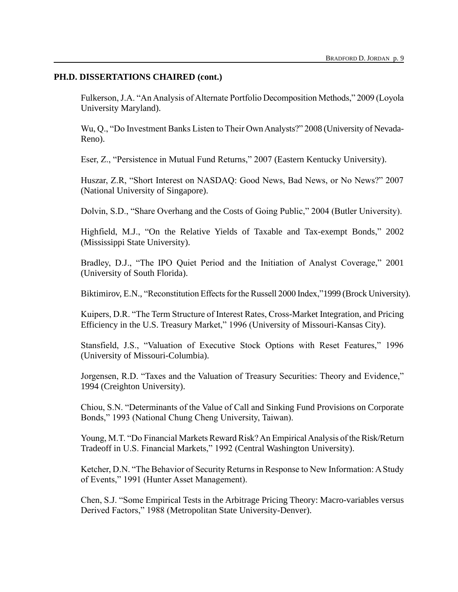## **PH.D. DISSERTATIONS CHAIRED (cont.)**

Fulkerson, J.A. "An Analysis of Alternate Portfolio Decomposition Methods," 2009 (Loyola University Maryland).

Wu, Q., "Do Investment Banks Listen to Their Own Analysts?" 2008 (University of Nevada-Reno).

Eser, Z., "Persistence in Mutual Fund Returns," 2007 (Eastern Kentucky University).

Huszar, Z.R, "Short Interest on NASDAQ: Good News, Bad News, or No News?" 2007 (National University of Singapore).

Dolvin, S.D., "Share Overhang and the Costs of Going Public," 2004 (Butler University).

Highfield, M.J., "On the Relative Yields of Taxable and Tax-exempt Bonds," 2002 (Mississippi State University).

Bradley, D.J., "The IPO Quiet Period and the Initiation of Analyst Coverage," 2001 (University of South Florida).

Biktimirov, E.N., "Reconstitution Effects for the Russell 2000 Index,"1999 (Brock University).

Kuipers, D.R. "The Term Structure of Interest Rates, Cross-Market Integration, and Pricing Efficiency in the U.S. Treasury Market," 1996 (University of Missouri-Kansas City).

Stansfield, J.S., "Valuation of Executive Stock Options with Reset Features," 1996 (University of Missouri-Columbia).

Jorgensen, R.D. "Taxes and the Valuation of Treasury Securities: Theory and Evidence," 1994 (Creighton University).

Chiou, S.N. "Determinants of the Value of Call and Sinking Fund Provisions on Corporate Bonds," 1993 (National Chung Cheng University, Taiwan).

Young, M.T. "Do Financial Markets Reward Risk? An Empirical Analysis of the Risk/Return Tradeoff in U.S. Financial Markets," 1992 (Central Washington University).

Ketcher, D.N. "The Behavior of Security Returns in Response to New Information: A Study of Events," 1991 (Hunter Asset Management).

Chen, S.J. "Some Empirical Tests in the Arbitrage Pricing Theory: Macro-variables versus Derived Factors," 1988 (Metropolitan State University-Denver).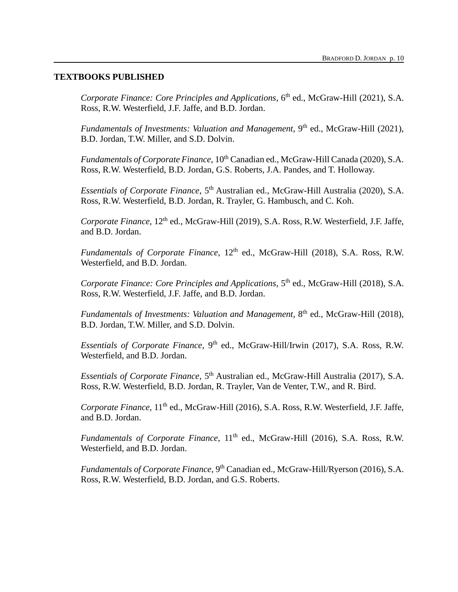#### **TEXTBOOKS PUBLISHED**

Corporate Finance: Core Principles and Applications, 6<sup>th</sup> ed., McGraw-Hill (2021), S.A. Ross, R.W. Westerfield, J.F. Jaffe, and B.D. Jordan.

Fundamentals of Investments: Valuation and Management, 9<sup>th</sup> ed., McGraw-Hill (2021), B.D. Jordan, T.W. Miller, and S.D. Dolvin.

*Fundamentals of Corporate Finance*, 10<sup>th</sup> Canadian ed., McGraw-Hill Canada (2020), S.A. Ross, R.W. Westerfield, B.D. Jordan, G.S. Roberts, J.A. Pandes, and T. Holloway.

Essentials of Corporate Finance, 5<sup>th</sup> Australian ed., McGraw-Hill Australia (2020), S.A. Ross, R.W. Westerfield, B.D. Jordan, R. Trayler, G. Hambusch, and C. Koh.

Corporate Finance, 12<sup>th</sup> ed., McGraw-Hill (2019), S.A. Ross, R.W. Westerfield, J.F. Jaffe, and B.D. Jordan.

*Fundamentals of Corporate Finance*,  $12<sup>th</sup>$  ed., McGraw-Hill (2018), S.A. Ross, R.W. Westerfield, and B.D. Jordan.

*Corporate Finance: Core Principles and Applications*, 5<sup>th</sup> ed., McGraw-Hill (2018), S.A. Ross, R.W. Westerfield, J.F. Jaffe, and B.D. Jordan.

Fundamentals of Investments: Valuation and Management, 8<sup>th</sup> ed., McGraw-Hill (2018), B.D. Jordan, T.W. Miller, and S.D. Dolvin.

Essentials of Corporate Finance, 9<sup>th</sup> ed., McGraw-Hill/Irwin (2017), S.A. Ross, R.W. Westerfield, and B.D. Jordan.

Essentials of Corporate Finance, 5<sup>th</sup> Australian ed., McGraw-Hill Australia (2017), S.A. Ross, R.W. Westerfield, B.D. Jordan, R. Trayler, Van de Venter, T.W., and R. Bird.

*Corporate Finance*, 11<sup>th</sup> ed., McGraw-Hill (2016), S.A. Ross, R.W. Westerfield, J.F. Jaffe, and B.D. Jordan.

*Fundamentals of Corporate Finance*,  $11<sup>th</sup>$  ed., McGraw-Hill (2016), S.A. Ross, R.W. Westerfield, and B.D. Jordan.

Fundamentals of Corporate Finance, 9<sup>th</sup> Canadian ed., McGraw-Hill/Ryerson (2016), S.A. Ross, R.W. Westerfield, B.D. Jordan, and G.S. Roberts.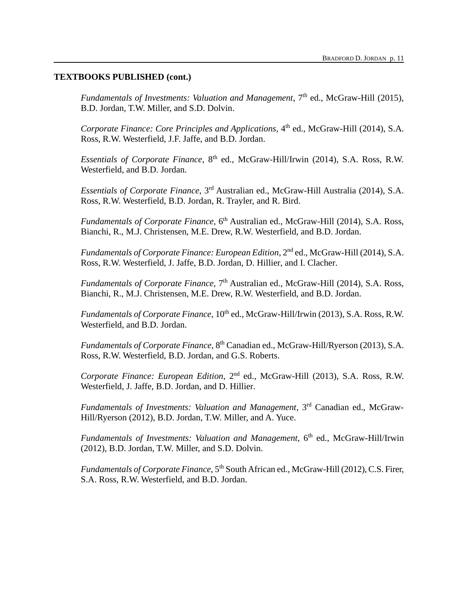Fundamentals of Investments: Valuation and Management, 7<sup>th</sup> ed., McGraw-Hill (2015), B.D. Jordan, T.W. Miller, and S.D. Dolvin.

*Corporate Finance: Core Principles and Applications*, 4<sup>th</sup> ed., McGraw-Hill (2014), S.A. Ross, R.W. Westerfield, J.F. Jaffe, and B.D. Jordan.

Essentials of Corporate Finance, 8<sup>th</sup> ed., McGraw-Hill/Irwin (2014), S.A. Ross, R.W. Westerfield, and B.D. Jordan.

Essentials of Corporate Finance, 3<sup>rd</sup> Australian ed., McGraw-Hill Australia (2014), S.A. Ross, R.W. Westerfield, B.D. Jordan, R. Trayler, and R. Bird.

Fundamentals of Corporate Finance, 6<sup>th</sup> Australian ed., McGraw-Hill (2014), S.A. Ross, Bianchi, R., M.J. Christensen, M.E. Drew, R.W. Westerfield, and B.D. Jordan.

Fundamentals of Corporate Finance: European Edition, 2<sup>nd</sup> ed., McGraw-Hill (2014), S.A. Ross, R.W. Westerfield, J. Jaffe, B.D. Jordan, D. Hillier, and I. Clacher.

Fundamentals of Corporate Finance, 7<sup>th</sup> Australian ed., McGraw-Hill (2014), S.A. Ross, Bianchi, R., M.J. Christensen, M.E. Drew, R.W. Westerfield, and B.D. Jordan.

*Fundamentals of Corporate Finance*, 10<sup>th</sup> ed., McGraw-Hill/Irwin (2013), S.A. Ross, R.W. Westerfield, and B.D. Jordan.

Fundamentals of Corporate Finance, 8<sup>th</sup> Canadian ed., McGraw-Hill/Ryerson (2013), S.A. Ross, R.W. Westerfield, B.D. Jordan, and G.S. Roberts.

Corporate Finance: European Edition, 2<sup>nd</sup> ed., McGraw-Hill (2013), S.A. Ross, R.W. Westerfield, J. Jaffe, B.D. Jordan, and D. Hillier.

Fundamentals of Investments: Valuation and Management, 3<sup>rd</sup> Canadian ed., McGraw-Hill/Ryerson (2012), B.D. Jordan, T.W. Miller, and A. Yuce.

Fundamentals of Investments: Valuation and Management, 6<sup>th</sup> ed., McGraw-Hill/Irwin (2012), B.D. Jordan, T.W. Miller, and S.D. Dolvin.

Fundamentals of Corporate Finance, 5<sup>th</sup> South African ed., McGraw-Hill (2012), C.S. Firer, S.A. Ross, R.W. Westerfield, and B.D. Jordan.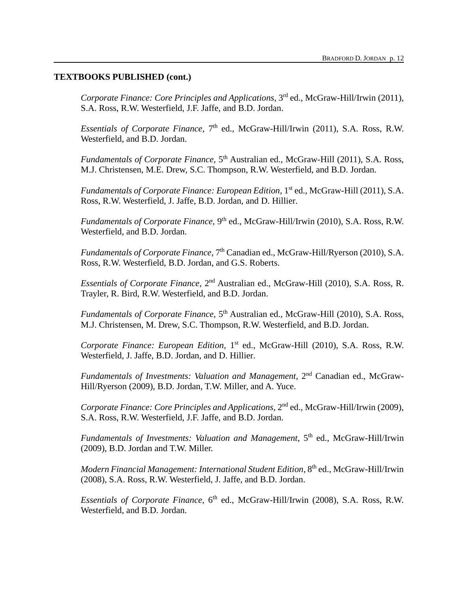*Corporate Finance: Core Principles and Applications*, 3rd ed., McGraw-Hill/Irwin (2011), S.A. Ross, R.W. Westerfield, J.F. Jaffe, and B.D. Jordan.

Essentials of Corporate Finance, 7<sup>th</sup> ed., McGraw-Hill/Irwin (2011), S.A. Ross, R.W. Westerfield, and B.D. Jordan.

Fundamentals of Corporate Finance, 5<sup>th</sup> Australian ed., McGraw-Hill (2011), S.A. Ross, M.J. Christensen, M.E. Drew, S.C. Thompson, R.W. Westerfield, and B.D. Jordan.

Fundamentals of Corporate Finance: European Edition, 1<sup>st</sup> ed., McGraw-Hill (2011), S.A. Ross, R.W. Westerfield, J. Jaffe, B.D. Jordan, and D. Hillier.

Fundamentals of Corporate Finance, 9<sup>th</sup> ed., McGraw-Hill/Irwin (2010), S.A. Ross, R.W. Westerfield, and B.D. Jordan.

Fundamentals of Corporate Finance, 7<sup>th</sup> Canadian ed., McGraw-Hill/Ryerson (2010), S.A. Ross, R.W. Westerfield, B.D. Jordan, and G.S. Roberts.

Essentials of Corporate Finance, 2<sup>nd</sup> Australian ed., McGraw-Hill (2010), S.A. Ross, R. Trayler, R. Bird, R.W. Westerfield, and B.D. Jordan.

Fundamentals of Corporate Finance, 5<sup>th</sup> Australian ed., McGraw-Hill (2010), S.A. Ross, M.J. Christensen, M. Drew, S.C. Thompson, R.W. Westerfield, and B.D. Jordan.

Corporate Finance: European Edition, 1<sup>st</sup> ed., McGraw-Hill (2010), S.A. Ross, R.W. Westerfield, J. Jaffe, B.D. Jordan, and D. Hillier.

Fundamentals of Investments: Valuation and Management, 2<sup>nd</sup> Canadian ed., McGraw-Hill/Ryerson (2009), B.D. Jordan, T.W. Miller, and A. Yuce.

*Corporate Finance: Core Principles and Applications*, 2<sup>nd</sup> ed., McGraw-Hill/Irwin (2009), S.A. Ross, R.W. Westerfield, J.F. Jaffe, and B.D. Jordan.

Fundamentals of Investments: Valuation and Management, 5<sup>th</sup> ed., McGraw-Hill/Irwin (2009), B.D. Jordan and T.W. Miller.

*Modern Financial Management: International Student Edition*, 8 th ed., McGraw-Hill/Irwin (2008), S.A. Ross, R.W. Westerfield, J. Jaffe, and B.D. Jordan.

Essentials of Corporate Finance, 6<sup>th</sup> ed., McGraw-Hill/Irwin (2008), S.A. Ross, R.W. Westerfield, and B.D. Jordan.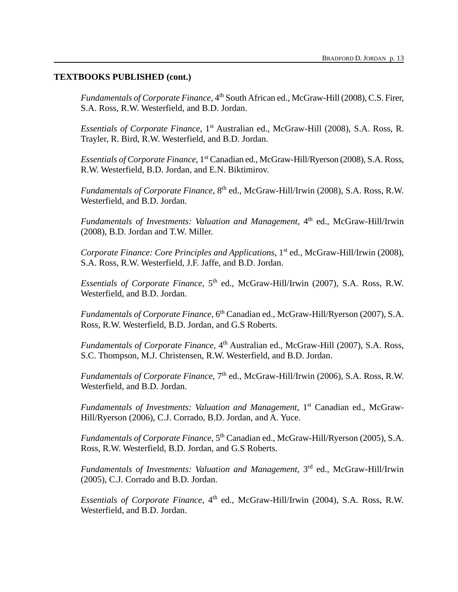Fundamentals of Corporate Finance, 4<sup>th</sup> South African ed., McGraw-Hill (2008), C.S. Firer, S.A. Ross, R.W. Westerfield, and B.D. Jordan.

Essentials of Corporate Finance, 1<sup>st</sup> Australian ed., McGraw-Hill (2008), S.A. Ross, R. Trayler, R. Bird, R.W. Westerfield, and B.D. Jordan.

Essentials of Corporate Finance, 1<sup>st</sup> Canadian ed., McGraw-Hill/Ryerson (2008), S.A. Ross, R.W. Westerfield, B.D. Jordan, and E.N. Biktimirov.

Fundamentals of Corporate Finance, 8<sup>th</sup> ed., McGraw-Hill/Irwin (2008), S.A. Ross, R.W. Westerfield, and B.D. Jordan.

Fundamentals of Investments: Valuation and Management, 4<sup>th</sup> ed., McGraw-Hill/Irwin (2008), B.D. Jordan and T.W. Miller.

*Corporate Finance: Core Principles and Applications*, 1<sup>st</sup> ed., McGraw-Hill/Irwin (2008), S.A. Ross, R.W. Westerfield, J.F. Jaffe, and B.D. Jordan.

Essentials of Corporate Finance, 5<sup>th</sup> ed., McGraw-Hill/Irwin (2007), S.A. Ross, R.W. Westerfield, and B.D. Jordan.

Fundamentals of Corporate Finance, 6<sup>th</sup> Canadian ed., McGraw-Hill/Ryerson (2007), S.A. Ross, R.W. Westerfield, B.D. Jordan, and G.S Roberts.

Fundamentals of Corporate Finance, 4<sup>th</sup> Australian ed., McGraw-Hill (2007), S.A. Ross, S.C. Thompson, M.J. Christensen, R.W. Westerfield, and B.D. Jordan.

Fundamentals of Corporate Finance, 7<sup>th</sup> ed., McGraw-Hill/Irwin (2006), S.A. Ross, R.W. Westerfield, and B.D. Jordan.

*Fundamentals of Investments: Valuation and Management*, 1 st Canadian ed., McGraw-Hill/Ryerson (2006), C.J. Corrado, B.D. Jordan, and A. Yuce.

Fundamentals of Corporate Finance, 5<sup>th</sup> Canadian ed., McGraw-Hill/Ryerson (2005), S.A. Ross, R.W. Westerfield, B.D. Jordan, and G.S Roberts.

Fundamentals of Investments: Valuation and Management, 3<sup>rd</sup> ed., McGraw-Hill/Irwin (2005), C.J. Corrado and B.D. Jordan.

*Essentials of Corporate Finance*, 4 th ed., McGraw-Hill/Irwin (2004), S.A. Ross, R.W. Westerfield, and B.D. Jordan.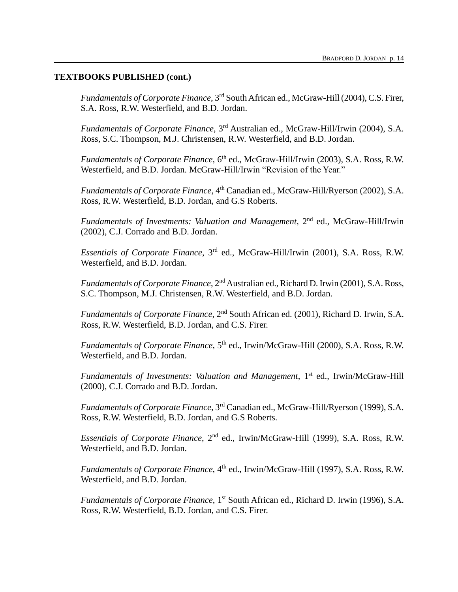Fundamentals of Corporate Finance, 3<sup>rd</sup> South African ed., McGraw-Hill (2004), C.S. Firer, S.A. Ross, R.W. Westerfield, and B.D. Jordan.

Fundamentals of Corporate Finance, 3<sup>rd</sup> Australian ed., McGraw-Hill/Irwin (2004), S.A. Ross, S.C. Thompson, M.J. Christensen, R.W. Westerfield, and B.D. Jordan.

Fundamentals of Corporate Finance, 6<sup>th</sup> ed., McGraw-Hill/Irwin (2003), S.A. Ross, R.W. Westerfield, and B.D. Jordan. McGraw-Hill/Irwin "Revision of the Year."

Fundamentals of Corporate Finance, 4<sup>th</sup> Canadian ed., McGraw-Hill/Ryerson (2002), S.A. Ross, R.W. Westerfield, B.D. Jordan, and G.S Roberts.

*Fundamentals of Investments: Valuation and Management*, 2nd ed., McGraw-Hill/Irwin (2002), C.J. Corrado and B.D. Jordan.

*Essentials of Corporate Finance*, 3 rd ed., McGraw-Hill/Irwin (2001), S.A. Ross, R.W. Westerfield, and B.D. Jordan.

Fundamentals of Corporate Finance, 2<sup>nd</sup> Australian ed., Richard D. Irwin (2001), S.A. Ross, S.C. Thompson, M.J. Christensen, R.W. Westerfield, and B.D. Jordan.

*Fundamentals of Corporate Finance*, 2nd South African ed. (2001), Richard D. Irwin, S.A. Ross, R.W. Westerfield, B.D. Jordan, and C.S. Firer.

*Fundamentals of Corporate Finance*, 5<sup>th</sup> ed., Irwin/McGraw-Hill (2000), S.A. Ross, R.W. Westerfield, and B.D. Jordan.

*Fundamentals of Investments: Valuation and Management*, 1<sup>st</sup> ed., Irwin/McGraw-Hill (2000), C.J. Corrado and B.D. Jordan.

*Fundamentals of Corporate Finance*, 3rd Canadian ed., McGraw-Hill/Ryerson (1999), S.A. Ross, R.W. Westerfield, B.D. Jordan, and G.S Roberts.

*Essentials of Corporate Finance*, 2nd ed., Irwin/McGraw-Hill (1999), S.A. Ross, R.W. Westerfield, and B.D. Jordan.

*Fundamentals of Corporate Finance*, 4<sup>th</sup> ed., Irwin/McGraw-Hill (1997), S.A. Ross, R.W. Westerfield, and B.D. Jordan.

*Fundamentals of Corporate Finance*, 1<sup>st</sup> South African ed., Richard D. Irwin (1996), S.A. Ross, R.W. Westerfield, B.D. Jordan, and C.S. Firer.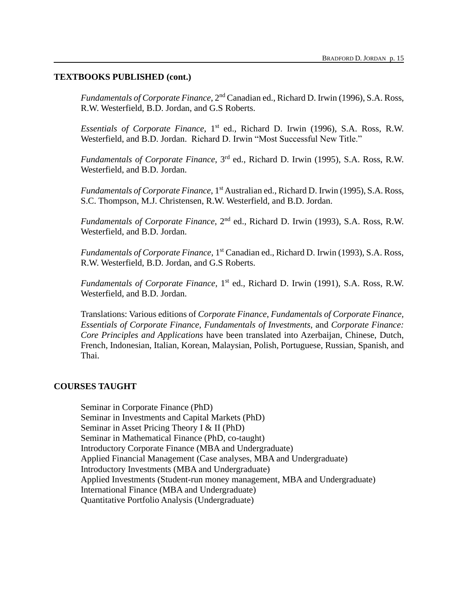*Fundamentals of Corporate Finance*, 2nd Canadian ed., Richard D. Irwin (1996), S.A. Ross, R.W. Westerfield, B.D. Jordan, and G.S Roberts.

*Essentials of Corporate Finance*, 1<sup>st</sup> ed., Richard D. Irwin (1996), S.A. Ross, R.W. Westerfield, and B.D. Jordan. Richard D. Irwin "Most Successful New Title."

*Fundamentals of Corporate Finance*, 3rd ed., Richard D. Irwin (1995), S.A. Ross, R.W. Westerfield, and B.D. Jordan.

*Fundamentals of Corporate Finance*, 1<sup>st</sup> Australian ed., Richard D. Irwin (1995), S.A. Ross, S.C. Thompson, M.J. Christensen, R.W. Westerfield, and B.D. Jordan.

*Fundamentals of Corporate Finance*, 2nd ed., Richard D. Irwin (1993), S.A. Ross, R.W. Westerfield, and B.D. Jordan.

*Fundamentals of Corporate Finance*, 1<sup>st</sup> Canadian ed., Richard D. Irwin (1993), S.A. Ross, R.W. Westerfield, B.D. Jordan, and G.S Roberts.

*Fundamentals of Corporate Finance*, 1<sup>st</sup> ed., Richard D. Irwin (1991), S.A. Ross, R.W. Westerfield, and B.D. Jordan.

Translations: Various editions of *Corporate Finance*, *Fundamentals of Corporate Finance, Essentials of Corporate Finance, Fundamentals of Investments*, and *Corporate Finance: Core Principles and Applications* have been translated into Azerbaijan, Chinese, Dutch, French, Indonesian, Italian, Korean, Malaysian, Polish, Portuguese, Russian, Spanish, and Thai.

## **COURSES TAUGHT**

Seminar in Corporate Finance (PhD) Seminar in Investments and Capital Markets (PhD) Seminar in Asset Pricing Theory I & II (PhD) Seminar in Mathematical Finance (PhD, co-taught) Introductory Corporate Finance (MBA and Undergraduate) Applied Financial Management (Case analyses, MBA and Undergraduate) Introductory Investments (MBA and Undergraduate) Applied Investments (Student-run money management, MBA and Undergraduate) International Finance (MBA and Undergraduate) Quantitative Portfolio Analysis (Undergraduate)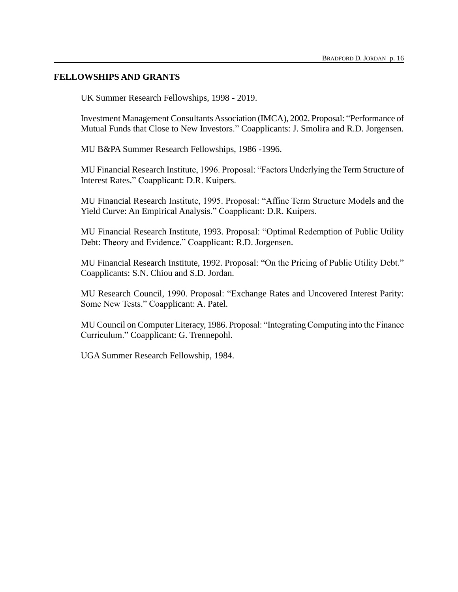## **FELLOWSHIPS AND GRANTS**

UK Summer Research Fellowships, 1998 - 2019.

Investment Management Consultants Association (IMCA), 2002. Proposal: "Performance of Mutual Funds that Close to New Investors." Coapplicants: J. Smolira and R.D. Jorgensen.

MU B&PA Summer Research Fellowships, 1986 -1996.

MU Financial Research Institute, 1996. Proposal: "Factors Underlying the Term Structure of Interest Rates." Coapplicant: D.R. Kuipers.

MU Financial Research Institute, 1995. Proposal: "Affine Term Structure Models and the Yield Curve: An Empirical Analysis." Coapplicant: D.R. Kuipers.

MU Financial Research Institute, 1993. Proposal: "Optimal Redemption of Public Utility Debt: Theory and Evidence." Coapplicant: R.D. Jorgensen.

MU Financial Research Institute, 1992. Proposal: "On the Pricing of Public Utility Debt." Coapplicants: S.N. Chiou and S.D. Jordan.

MU Research Council, 1990. Proposal: "Exchange Rates and Uncovered Interest Parity: Some New Tests." Coapplicant: A. Patel.

MU Council on Computer Literacy, 1986. Proposal: "Integrating Computing into the Finance Curriculum." Coapplicant: G. Trennepohl.

UGA Summer Research Fellowship, 1984.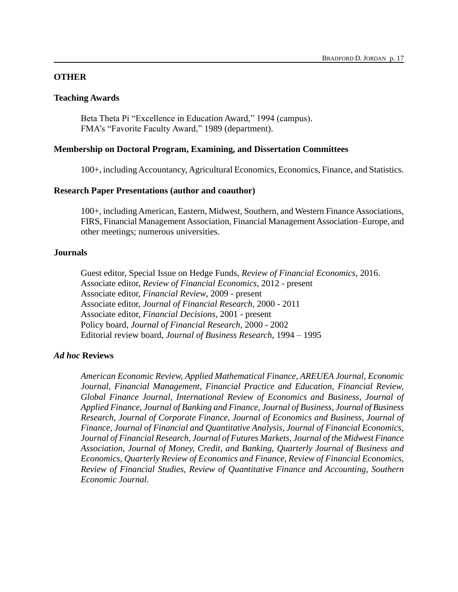## **OTHER**

## **Teaching Awards**

Beta Theta Pi "Excellence in Education Award," 1994 (campus). FMA's "Favorite Faculty Award," 1989 (department).

### **Membership on Doctoral Program, Examining, and Dissertation Committees**

100+, including Accountancy, Agricultural Economics, Economics, Finance, and Statistics.

### **Research Paper Presentations (author and coauthor)**

100+, including American, Eastern, Midwest, Southern, and Western Finance Associations, FIRS, Financial Management Association, Financial Management Association–Europe, and other meetings; numerous universities.

## **Journals**

Guest editor, Special Issue on Hedge Funds, *Review of Financial Economics*, 2016. Associate editor, *Review of Financial Economics*, 2012 - present Associate editor, *Financial Review*, 2009 - present Associate editor, *Journal of Financial Research*, 2000 - 2011 Associate editor, *Financial Decisions*, 2001 - present Policy board, *Journal of Financial Research*, 2000 - 2002 Editorial review board, *Journal of Business Research*, 1994 – 1995

## *Ad hoc* **Reviews**

*American Economic Review, Applied Mathematical Finance, AREUEA Journal, Economic Journal, Financial Management, Financial Practice and Education, Financial Review, Global Finance Journal, International Review of Economics and Business, Journal of Applied Finance*, *Journal of Banking and Finance, Journal of Business, Journal of Business Research, Journal of Corporate Finance, Journal of Economics and Business, Journal of Finance, Journal of Financial and Quantitative Analysis, Journal of Financial Economics, Journal of Financial Research, Journal of Futures Markets, Journal of the Midwest Finance Association, Journal of Money, Credit, and Banking, Quarterly Journal of Business and Economics, Quarterly Review of Economics and Finance, Review of Financial Economics, Review of Financial Studies, Review of Quantitative Finance and Accounting, Southern Economic Journal.*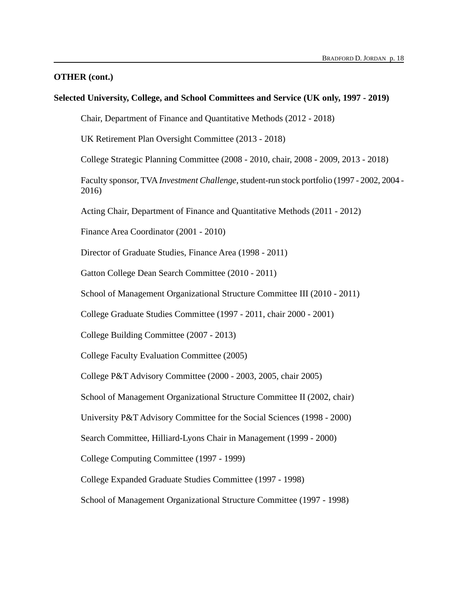#### **OTHER (cont.)**

#### **Selected University, College, and School Committees and Service (UK only, 1997 - 2019)**

Chair, Department of Finance and Quantitative Methods (2012 - 2018)

UK Retirement Plan Oversight Committee (2013 - 2018)

College Strategic Planning Committee (2008 - 2010, chair, 2008 - 2009, 2013 - 2018)

Faculty sponsor, TVA *Investment Challenge*, student-run stock portfolio (1997 - 2002, 2004 - 2016)

Acting Chair, Department of Finance and Quantitative Methods (2011 - 2012)

Finance Area Coordinator (2001 - 2010)

Director of Graduate Studies, Finance Area (1998 - 2011)

Gatton College Dean Search Committee (2010 - 2011)

School of Management Organizational Structure Committee III (2010 - 2011)

College Graduate Studies Committee (1997 - 2011, chair 2000 - 2001)

College Building Committee (2007 - 2013)

College Faculty Evaluation Committee (2005)

College P&T Advisory Committee (2000 - 2003, 2005, chair 2005)

School of Management Organizational Structure Committee II (2002, chair)

University P&T Advisory Committee for the Social Sciences (1998 - 2000)

Search Committee, Hilliard-Lyons Chair in Management (1999 - 2000)

College Computing Committee (1997 - 1999)

College Expanded Graduate Studies Committee (1997 - 1998)

School of Management Organizational Structure Committee (1997 - 1998)